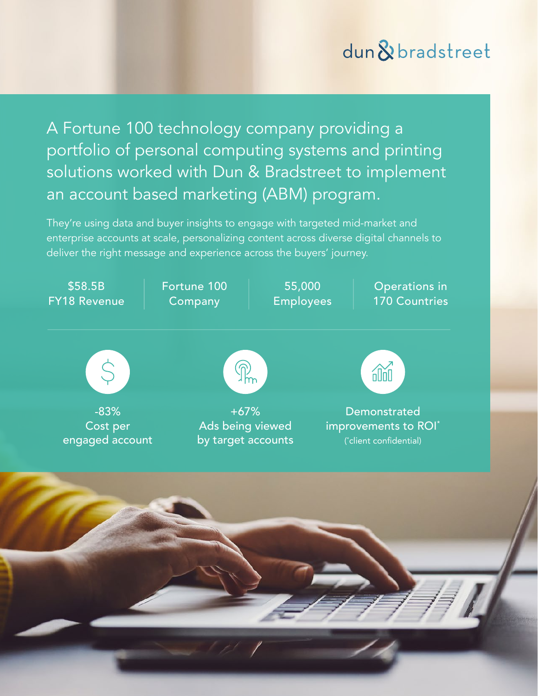# dun & bradstreet

A Fortune 100 technology company providing a portfolio of personal computing systems and printing solutions worked with Dun & Bradstreet to implement an account based marketing (ABM) program.

They're using data and buyer insights to engage with targeted mid-market and enterprise accounts at scale, personalizing content across diverse digital channels to deliver the right message and experience across the buyers' journey.

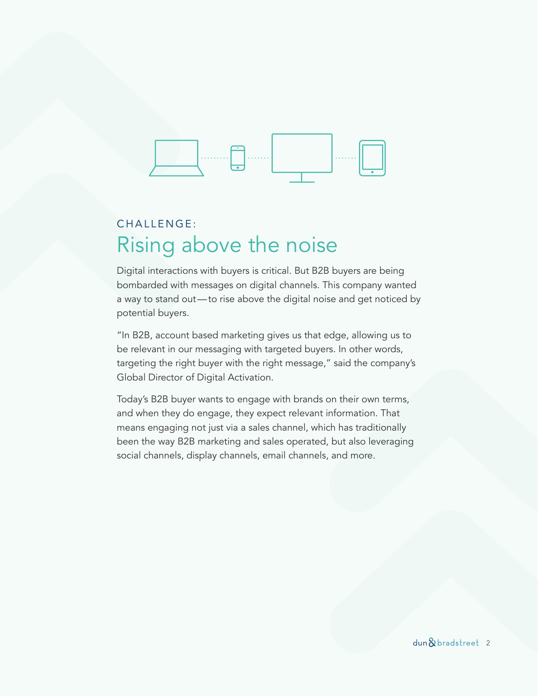

## CHALLENGE: Rising above the noise

Digital interactions with buyers is critical. But B2B buyers are being bombarded with messages on digital channels. This company wanted a way to stand out—to rise above the digital noise and get noticed by potential buyers.

"In B2B, account based marketing gives us that edge, allowing us to be relevant in our messaging with targeted buyers. In other words, targeting the right buyer with the right message," said the company's Global Director of Digital Activation.

Today's B2B buyer wants to engage with brands on their own terms, and when they do engage, they expect relevant information. That means engaging not just via a sales channel, which has traditionally been the way B2B marketing and sales operated, but also leveraging social channels, display channels, email channels, and more.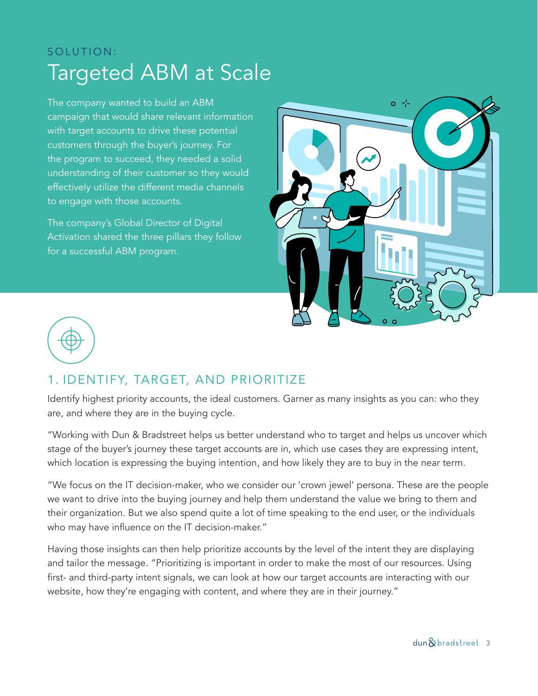## SOLUTION: Targeted ABM at Scale

The company wanted to build an ABM campaign that would share relevant information with target accounts to drive these potential customers through the buyer's journey. For the program to succeed, they needed a solid understanding of their customer so they would effectively utilize the different media channels to engage with those accounts.

The company's Global Director of Digital Activation shared the three pillars they follow for a successful ABM program.





## 1. IDENTIFY, TARGET, AND PRIORITIZE

Identify highest priority accounts, the ideal customers. Garner as many insights as you can: who they are, and where they are in the buying cycle.

"Working with Dun & Bradstreet helps us better understand who to target and helps us uncover which stage of the buyer's journey these target accounts are in, which use cases they are expressing intent, which location is expressing the buying intention, and how likely they are to buy in the near term.

"We focus on the IT decision-maker, who we consider our 'crown jewel' persona. These are the people we want to drive into the buying journey and help them understand the value we bring to them and their organization. But we also spend quite a lot of time speaking to the end user, or the individuals who may have influence on the IT decision-maker."

Having those insights can then help prioritize accounts by the level of the intent they are displaying and tailor the message. "Prioritizing is important in order to make the most of our resources. Using first- and third-party intent signals, we can look at how our target accounts are interacting with our website, how they're engaging with content, and where they are in their journey."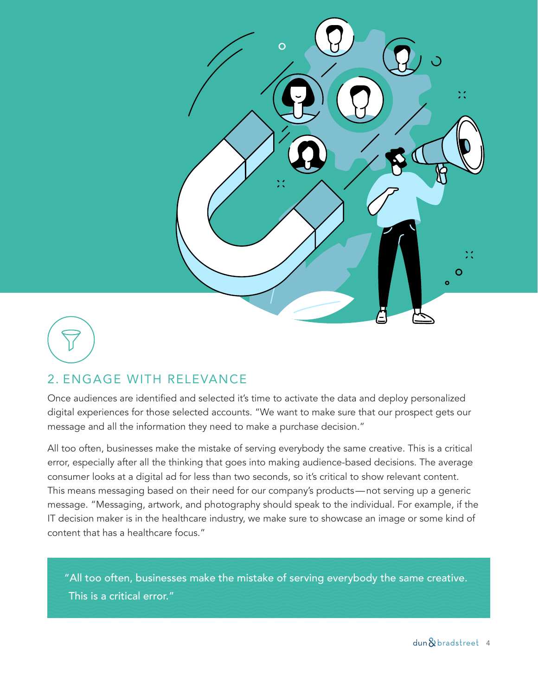

### 2. ENGAGE WITH RELEVANCE

Once audiences are identified and selected it's time to activate the data and deploy personalized digital experiences for those selected accounts. "We want to make sure that our prospect gets our message and all the information they need to make a purchase decision."

All too often, businesses make the mistake of serving everybody the same creative. This is a critical error, especially after all the thinking that goes into making audience-based decisions. The average consumer looks at a digital ad for less than two seconds, so it's critical to show relevant content. This means messaging based on their need for our company's products—not serving up a generic message. "Messaging, artwork, and photography should speak to the individual. For example, if the IT decision maker is in the healthcare industry, we make sure to showcase an image or some kind of content that has a healthcare focus."

"All too often, businesses make the mistake of serving everybody the same creative. This is a critical error."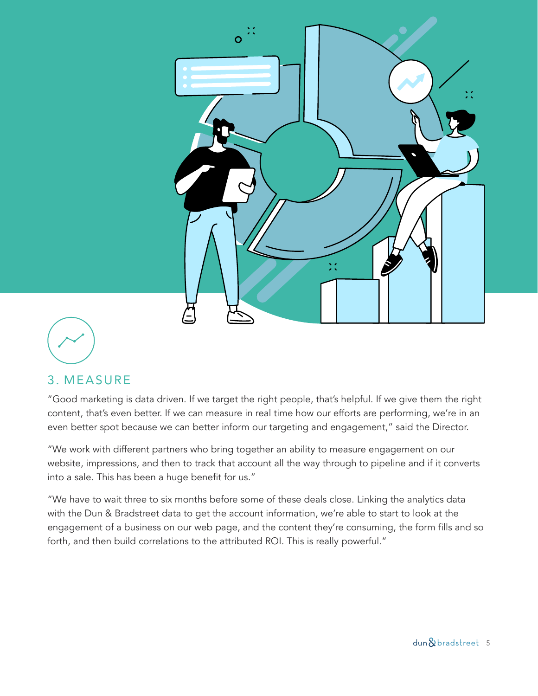

### 3. MEASURE

"Good marketing is data driven. If we target the right people, that's helpful. If we give them the right content, that's even better. If we can measure in real time how our efforts are performing, we're in an even better spot because we can better inform our targeting and engagement," said the Director.

"We work with different partners who bring together an ability to measure engagement on our website, impressions, and then to track that account all the way through to pipeline and if it converts into a sale. This has been a huge benefit for us."

"We have to wait three to six months before some of these deals close. Linking the analytics data with the Dun & Bradstreet data to get the account information, we're able to start to look at the engagement of a business on our web page, and the content they're consuming, the form fills and so forth, and then build correlations to the attributed ROI. This is really powerful."